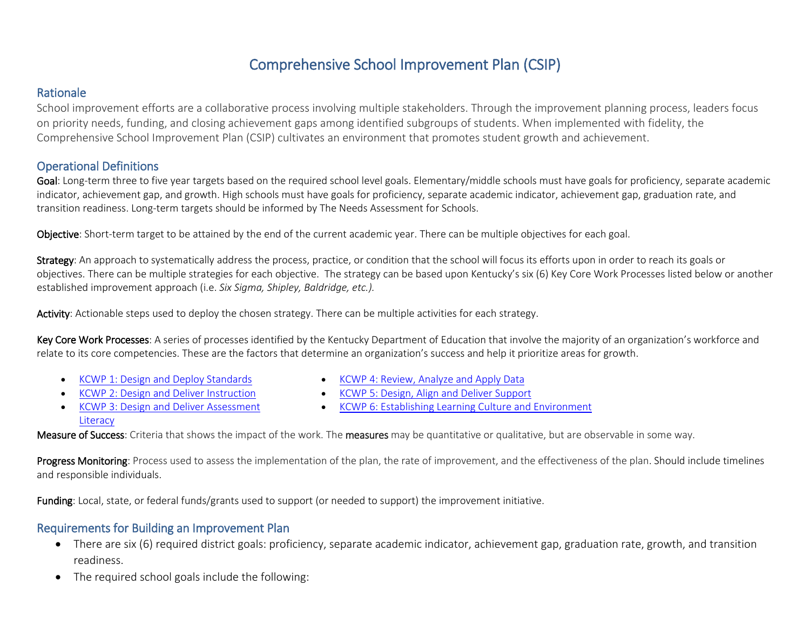# Comprehensive School Improvement Plan (CSIP)

### Rationale

School improvement efforts are a collaborative process involving multiple stakeholders. Through the improvement planning process, leaders focus on priority needs, funding, and closing achievement gaps among identified subgroups of students. When implemented with fidelity, the Comprehensive School Improvement Plan (CSIP) cultivates an environment that promotes student growth and achievement.

## Operational Definitions

Goal: Long-term three to five year targets based on the required school level goals. Elementary/middle schools must have goals for proficiency, separate academic indicator, achievement gap, and growth. High schools must have goals for proficiency, separate academic indicator, achievement gap, graduation rate, and transition readiness. Long-term targets should be informed by The Needs Assessment for Schools.

Objective: Short-term target to be attained by the end of the current academic year. There can be multiple objectives for each goal.

Strategy: An approach to systematically address the process, practice, or condition that the school will focus its efforts upon in order to reach its goals or objectives. There can be multiple strategies for each objective. The strategy can be based upon Kentucky's six (6) Key Core Work Processes listed below or another established improvement approach (i.e. *Six Sigma, Shipley, Baldridge, etc.).*

Activity: Actionable steps used to deploy the chosen strategy. There can be multiple activities for each strategy.

Key Core Work Processes: A series of processes identified by the Kentucky Department of Education that involve the majority of an organization's workforce and relate to its core competencies. These are the factors that determine an organization's success and help it prioritize areas for growth.

• [KCWP 1: Design and Deploy Standards](https://education.ky.gov/school/csip/Documents/KCWP%201%20Strategic%20Design%20and%20Deploy%20Standards.pdf)

- [KCWP 4: Review, Analyze and Apply Data](https://education.ky.gov/school/csip/Documents/KCWP%204%20Strategic%20Review%20Analyze%20and%20Apply%20Data.pdf)
- [KCWP 2: Design and Deliver Instruction](https://education.ky.gov/school/csip/Documents/KCWP%202%20Strategic%20Design%20and%20Deliver%20Instruction.pdf)
- [KCWP 5: Design, Align and Deliver Support](https://education.ky.gov/school/csip/Documents/KCWP%205%20Strategic%20Design%20Align%20Deliver%20Support%20Processes.pdf)
- [KCWP 3: Design and Deliver Assessment](https://education.ky.gov/school/csip/Documents/KCWP%203%20Strategic%20Design%20and%20Deliver%20Assessment%20Literacy.pdf)  **[Literacy](https://education.ky.gov/school/csip/Documents/KCWP%203%20Strategic%20Design%20and%20Deliver%20Assessment%20Literacy.pdf)**
- [KCWP 6: Establishing Learning Culture and Environment](https://education.ky.gov/school/csip/Documents/KCWP%206%20Strategic%20Establish%20Learning%20Culture%20and%20Environment.pdf)

Measure of Success: Criteria that shows the impact of the work. The measures may be quantitative or qualitative, but are observable in some way.

Progress Monitoring: Process used to assess the implementation of the plan, the rate of improvement, and the effectiveness of the plan. Should include timelines and responsible individuals.

Funding: Local, state, or federal funds/grants used to support (or needed to support) the improvement initiative.

## Requirements for Building an Improvement Plan

- There are six (6) required district goals: proficiency, separate academic indicator, achievement gap, graduation rate, growth, and transition readiness.
- The required school goals include the following: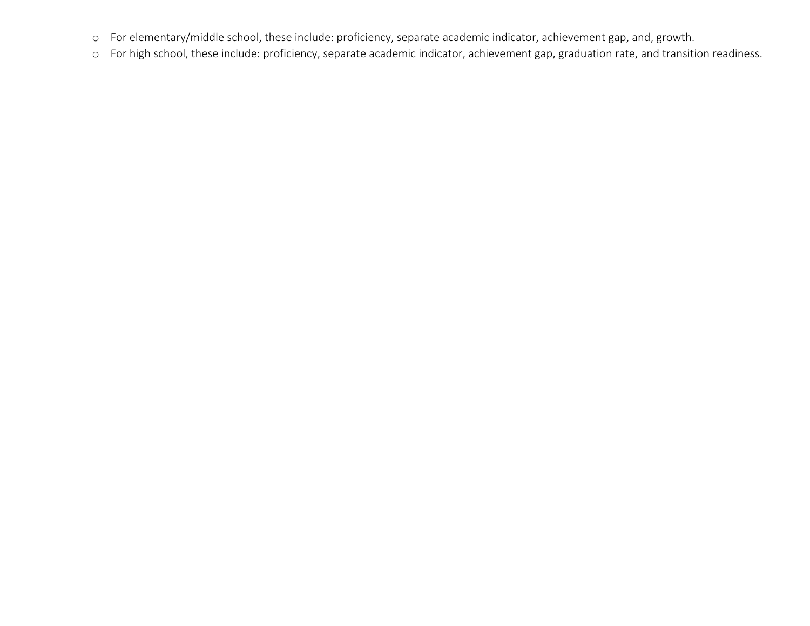- o For elementary/middle school, these include: proficiency, separate academic indicator, achievement gap, and, growth.
- o For high school, these include: proficiency, separate academic indicator, achievement gap, graduation rate, and transition readiness.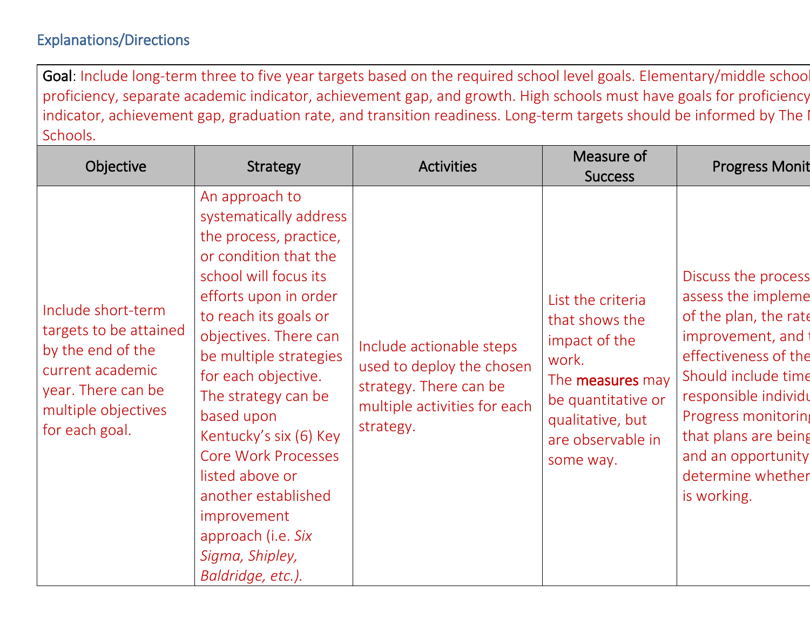# Explanations/Directions

Goal: Include long-term three to five year targets based on the required school level goals. Elementary/middle schoo proficiency, separate academic indicator, achievement gap, and growth. High schools must have goals for proficiency indicator, achievement gap, graduation rate, and transition readiness. Long-term targets should be informed by The I Schools.

| Objective                                                                                                                                            | <b>Strategy</b>                                                                                                                                                                                                                                                                                                                                                                                                                                                      | <b>Activities</b>                                                                                                            | Measure of<br><b>Success</b>                                                                                                                                         | <b>Progress Monit</b>                                                                                                                                                                                                                                                  |
|------------------------------------------------------------------------------------------------------------------------------------------------------|----------------------------------------------------------------------------------------------------------------------------------------------------------------------------------------------------------------------------------------------------------------------------------------------------------------------------------------------------------------------------------------------------------------------------------------------------------------------|------------------------------------------------------------------------------------------------------------------------------|----------------------------------------------------------------------------------------------------------------------------------------------------------------------|------------------------------------------------------------------------------------------------------------------------------------------------------------------------------------------------------------------------------------------------------------------------|
| Include short-term<br>targets to be attained<br>by the end of the<br>current academic<br>year. There can be<br>multiple objectives<br>for each goal. | An approach to<br>systematically address<br>the process, practice,<br>or condition that the<br>school will focus its<br>efforts upon in order<br>to reach its goals or<br>objectives. There can<br>be multiple strategies<br>for each objective.<br>The strategy can be<br>based upon<br>Kentucky's six (6) Key<br><b>Core Work Processes</b><br>listed above or<br>another established<br>improvement<br>approach (i.e. Six<br>Sigma, Shipley,<br>Baldridge, etc.). | Include actionable steps<br>used to deploy the chosen<br>strategy. There can be<br>multiple activities for each<br>strategy. | List the criteria<br>that shows the<br>impact of the<br>work.<br>The <b>measures</b> may<br>be quantitative or<br>qualitative, but<br>are observable in<br>some way. | Discuss the process<br>assess the impleme<br>of the plan, the rate<br>improvement, and<br>effectiveness of the<br>Should include time<br>responsible individu<br>Progress monitoring<br>that plans are being<br>and an opportunity<br>determine whether<br>is working. |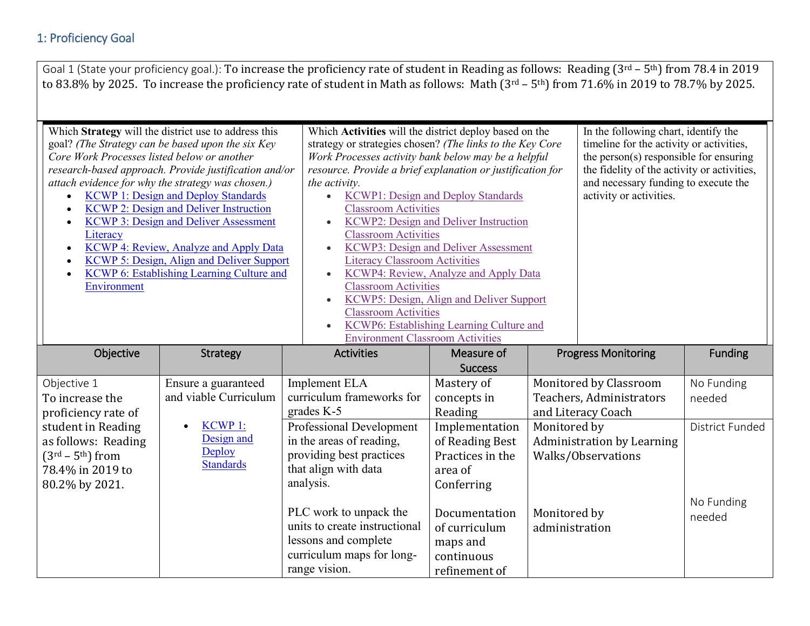|                                                                                                               |                                                                                                                                                                                                                                                                                                                                                                                                                                                                                                                          | Goal 1 (State your proficiency goal.): To increase the proficiency rate of student in Reading as follows: Reading (3rd - 5th) from 78.4 in 2019<br>to 83.8% by 2025. To increase the proficiency rate of student in Math as follows: Math (3rd - 5th) from 71.6% in 2019 to 78.7% by 2025.                                                                                                                                                                                                         |                                                                                                                                                                                                                                                                    |                                |                                                                                                                                                                                                                                              |                 |
|---------------------------------------------------------------------------------------------------------------|--------------------------------------------------------------------------------------------------------------------------------------------------------------------------------------------------------------------------------------------------------------------------------------------------------------------------------------------------------------------------------------------------------------------------------------------------------------------------------------------------------------------------|----------------------------------------------------------------------------------------------------------------------------------------------------------------------------------------------------------------------------------------------------------------------------------------------------------------------------------------------------------------------------------------------------------------------------------------------------------------------------------------------------|--------------------------------------------------------------------------------------------------------------------------------------------------------------------------------------------------------------------------------------------------------------------|--------------------------------|----------------------------------------------------------------------------------------------------------------------------------------------------------------------------------------------------------------------------------------------|-----------------|
| Core Work Processes listed below or another<br>Literacy<br>$\bullet$<br>$\bullet$<br>$\bullet$<br>Environment | Which Strategy will the district use to address this<br>goal? (The Strategy can be based upon the six Key<br>research-based approach. Provide justification and/or<br>attach evidence for why the strategy was chosen.)<br><b>KCWP 1: Design and Deploy Standards</b><br><b>KCWP 2: Design and Deliver Instruction</b><br><b>KCWP 3: Design and Deliver Assessment</b><br><b>KCWP 4: Review, Analyze and Apply Data</b><br><b>KCWP 5: Design, Align and Deliver Support</b><br>KCWP 6: Establishing Learning Culture and | Which Activities will the district deploy based on the<br>strategy or strategies chosen? (The links to the Key Core<br>Work Processes activity bank below may be a helpful<br>resource. Provide a brief explanation or justification for<br>the activity.<br><b>Classroom Activities</b><br><b>Classroom Activities</b><br><b>Literacy Classroom Activities</b><br>$\bullet$<br><b>Classroom Activities</b><br>$\bullet$<br><b>Classroom Activities</b><br><b>Environment Classroom Activities</b> | <b>KCWP1: Design and Deploy Standards</b><br>KCWP2: Design and Deliver Instruction<br><b>KCWP3: Design and Deliver Assessment</b><br>KCWP4: Review, Analyze and Apply Data<br>KCWP5: Design, Align and Deliver Support<br>KCWP6: Establishing Learning Culture and |                                | In the following chart, identify the<br>timeline for the activity or activities,<br>the person(s) responsible for ensuring<br>the fidelity of the activity or activities,<br>and necessary funding to execute the<br>activity or activities. |                 |
| Objective                                                                                                     | <b>Strategy</b>                                                                                                                                                                                                                                                                                                                                                                                                                                                                                                          | <b>Activities</b>                                                                                                                                                                                                                                                                                                                                                                                                                                                                                  | Measure of<br><b>Success</b>                                                                                                                                                                                                                                       |                                | <b>Progress Monitoring</b>                                                                                                                                                                                                                   | <b>Funding</b>  |
| Objective 1                                                                                                   | Ensure a guaranteed                                                                                                                                                                                                                                                                                                                                                                                                                                                                                                      | <b>Implement ELA</b>                                                                                                                                                                                                                                                                                                                                                                                                                                                                               | Mastery of                                                                                                                                                                                                                                                         |                                | Monitored by Classroom                                                                                                                                                                                                                       | No Funding      |
| To increase the                                                                                               | and viable Curriculum                                                                                                                                                                                                                                                                                                                                                                                                                                                                                                    | curriculum frameworks for                                                                                                                                                                                                                                                                                                                                                                                                                                                                          | concepts in                                                                                                                                                                                                                                                        |                                | Teachers, Administrators                                                                                                                                                                                                                     | needed          |
| proficiency rate of                                                                                           |                                                                                                                                                                                                                                                                                                                                                                                                                                                                                                                          | grades $K-5$                                                                                                                                                                                                                                                                                                                                                                                                                                                                                       | Reading                                                                                                                                                                                                                                                            |                                | and Literacy Coach                                                                                                                                                                                                                           |                 |
| student in Reading                                                                                            | <b>KCWP1:</b>                                                                                                                                                                                                                                                                                                                                                                                                                                                                                                            | <b>Professional Development</b>                                                                                                                                                                                                                                                                                                                                                                                                                                                                    | Implementation                                                                                                                                                                                                                                                     | Monitored by                   |                                                                                                                                                                                                                                              | District Funded |
| as follows: Reading                                                                                           | Design and<br>Deploy                                                                                                                                                                                                                                                                                                                                                                                                                                                                                                     | in the areas of reading,                                                                                                                                                                                                                                                                                                                                                                                                                                                                           | of Reading Best                                                                                                                                                                                                                                                    |                                | <b>Administration by Learning</b>                                                                                                                                                                                                            |                 |
| $(3rd - 5th)$ from                                                                                            | <b>Standards</b>                                                                                                                                                                                                                                                                                                                                                                                                                                                                                                         | providing best practices                                                                                                                                                                                                                                                                                                                                                                                                                                                                           | Practices in the                                                                                                                                                                                                                                                   |                                | Walks/Observations                                                                                                                                                                                                                           |                 |
| 78.4% in 2019 to                                                                                              |                                                                                                                                                                                                                                                                                                                                                                                                                                                                                                                          | that align with data                                                                                                                                                                                                                                                                                                                                                                                                                                                                               | area of                                                                                                                                                                                                                                                            |                                |                                                                                                                                                                                                                                              |                 |
| 80.2% by 2021.                                                                                                |                                                                                                                                                                                                                                                                                                                                                                                                                                                                                                                          | analysis.                                                                                                                                                                                                                                                                                                                                                                                                                                                                                          | Conferring                                                                                                                                                                                                                                                         |                                |                                                                                                                                                                                                                                              |                 |
|                                                                                                               |                                                                                                                                                                                                                                                                                                                                                                                                                                                                                                                          | PLC work to unpack the                                                                                                                                                                                                                                                                                                                                                                                                                                                                             | Documentation                                                                                                                                                                                                                                                      |                                |                                                                                                                                                                                                                                              | No Funding      |
|                                                                                                               |                                                                                                                                                                                                                                                                                                                                                                                                                                                                                                                          | units to create instructional                                                                                                                                                                                                                                                                                                                                                                                                                                                                      | of curriculum                                                                                                                                                                                                                                                      | Monitored by<br>administration |                                                                                                                                                                                                                                              | needed          |
|                                                                                                               |                                                                                                                                                                                                                                                                                                                                                                                                                                                                                                                          | lessons and complete                                                                                                                                                                                                                                                                                                                                                                                                                                                                               | maps and                                                                                                                                                                                                                                                           |                                |                                                                                                                                                                                                                                              |                 |
|                                                                                                               |                                                                                                                                                                                                                                                                                                                                                                                                                                                                                                                          | curriculum maps for long-                                                                                                                                                                                                                                                                                                                                                                                                                                                                          | continuous                                                                                                                                                                                                                                                         |                                |                                                                                                                                                                                                                                              |                 |
|                                                                                                               |                                                                                                                                                                                                                                                                                                                                                                                                                                                                                                                          | range vision.                                                                                                                                                                                                                                                                                                                                                                                                                                                                                      | refinement of                                                                                                                                                                                                                                                      |                                |                                                                                                                                                                                                                                              |                 |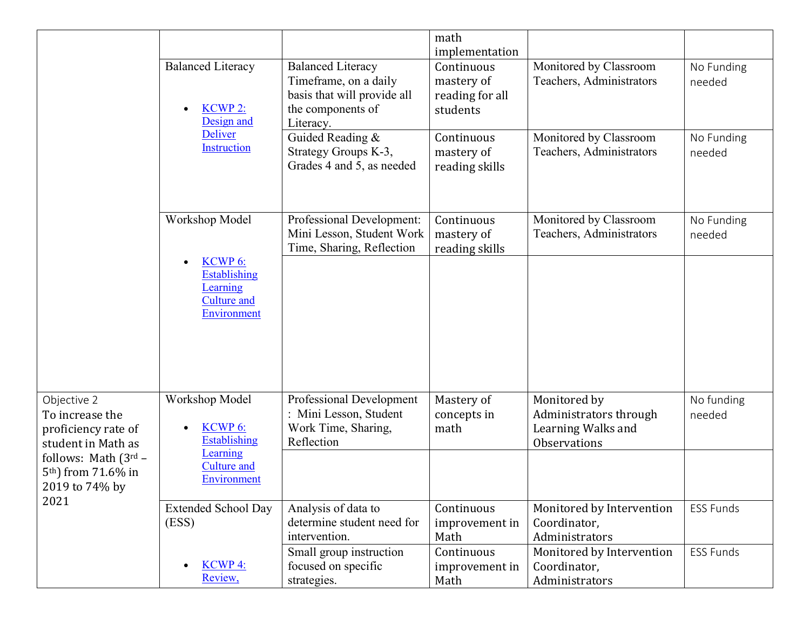|                                                                                |                                                                                             |                                                                                                                    | math<br>implementation                                  |                                                                                     |                      |
|--------------------------------------------------------------------------------|---------------------------------------------------------------------------------------------|--------------------------------------------------------------------------------------------------------------------|---------------------------------------------------------|-------------------------------------------------------------------------------------|----------------------|
|                                                                                | <b>Balanced Literacy</b><br><b>KCWP2:</b><br>Design and                                     | <b>Balanced Literacy</b><br>Timeframe, on a daily<br>basis that will provide all<br>the components of<br>Literacy. | Continuous<br>mastery of<br>reading for all<br>students | Monitored by Classroom<br>Teachers, Administrators                                  | No Funding<br>needed |
|                                                                                | Deliver<br>Instruction                                                                      | Guided Reading &<br>Strategy Groups K-3,<br>Grades 4 and 5, as needed                                              | Continuous<br>mastery of<br>reading skills              | Monitored by Classroom<br>Teachers, Administrators                                  | No Funding<br>needed |
|                                                                                | Workshop Model                                                                              | Professional Development:<br>Mini Lesson, Student Work<br>Time, Sharing, Reflection                                | Continuous<br>mastery of<br>reading skills              | Monitored by Classroom<br>Teachers, Administrators                                  | No Funding<br>needed |
|                                                                                | KCWP <sub>6</sub> :<br><b>Establishing</b><br>Learning<br><b>Culture and</b><br>Environment |                                                                                                                    |                                                         |                                                                                     |                      |
| Objective 2<br>To increase the<br>proficiency rate of<br>student in Math as    | Workshop Model<br>KCWP 6:<br><b>Establishing</b><br>Learning                                | Professional Development<br>: Mini Lesson, Student<br>Work Time, Sharing,<br>Reflection                            | Mastery of<br>concepts in<br>math                       | Monitored by<br>Administrators through<br>Learning Walks and<br><b>Observations</b> | No funding<br>needed |
| follows: Math $(3^{rd} –$<br>5 <sup>th</sup> ) from 71.6% in<br>2019 to 74% by | <b>Culture and</b><br>Environment                                                           |                                                                                                                    |                                                         |                                                                                     |                      |
| 2021                                                                           | <b>Extended School Day</b><br>(ESS)                                                         | Analysis of data to<br>determine student need for<br>intervention.                                                 | Continuous<br>improvement in<br>Math                    | Monitored by Intervention<br>Coordinator,<br>Administrators                         | <b>ESS Funds</b>     |
|                                                                                | <b>KCWP4:</b><br>Review,                                                                    | Small group instruction<br>focused on specific<br>strategies.                                                      | Continuous<br>improvement in<br>Math                    | Monitored by Intervention<br>Coordinator,<br>Administrators                         | <b>ESS Funds</b>     |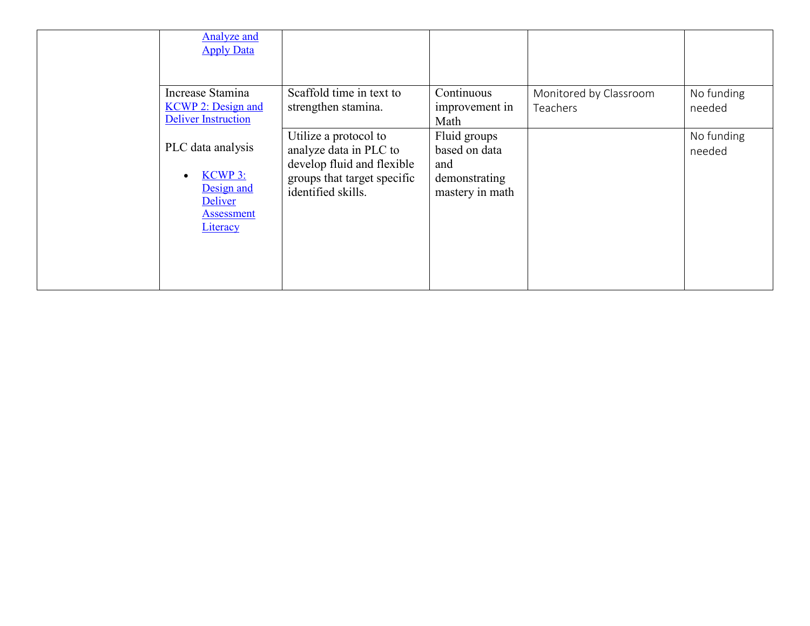| Analyze and<br><b>Apply Data</b>                                                                     |                                                                                                                                    |                                                                          |                                    |                      |
|------------------------------------------------------------------------------------------------------|------------------------------------------------------------------------------------------------------------------------------------|--------------------------------------------------------------------------|------------------------------------|----------------------|
| Increase Stamina<br><b>KCWP 2: Design and</b><br><b>Deliver Instruction</b>                          | Scaffold time in text to<br>strengthen stamina.                                                                                    | Continuous<br>improvement in<br>Math                                     | Monitored by Classroom<br>Teachers | No funding<br>needed |
| PLC data analysis<br><b>KCWP 3:</b><br>Design and<br>Deliver<br><b>Assessment</b><br><b>Literacy</b> | Utilize a protocol to<br>analyze data in PLC to<br>develop fluid and flexible<br>groups that target specific<br>identified skills. | Fluid groups<br>based on data<br>and<br>demonstrating<br>mastery in math |                                    | No funding<br>needed |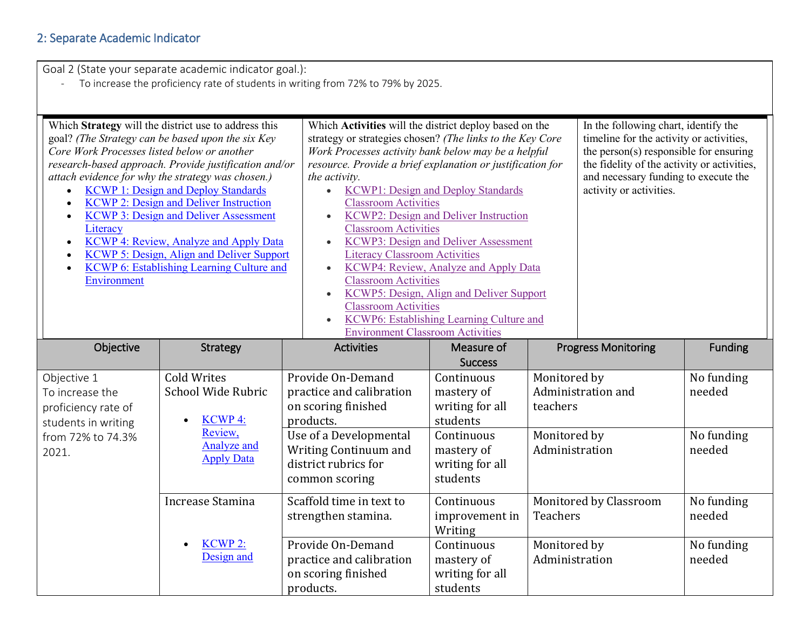# 2: Separate Academic Indicator

Goal 2 (State your separate academic indicator goal.):

- To increase the proficiency rate of students in writing from 72% to 79% by 2025.

| Core Work Processes listed below or another<br>$\bullet$<br>$\bullet$<br>$\bullet$<br>Literacy<br>$\bullet$<br>Environment | Which Strategy will the district use to address this<br>goal? (The Strategy can be based upon the six Key<br>research-based approach. Provide justification and/or<br>attach evidence for why the strategy was chosen.)<br><b>KCWP 1: Design and Deploy Standards</b><br><b>KCWP 2: Design and Deliver Instruction</b><br><b>KCWP 3: Design and Deliver Assessment</b><br><b>KCWP 4: Review, Analyze and Apply Data</b><br>KCWP 5: Design, Align and Deliver Support<br>KCWP 6: Establishing Learning Culture and | Which Activities will the district deploy based on the<br>strategy or strategies chosen? (The links to the Key Core<br>Work Processes activity bank below may be a helpful<br>resource. Provide a brief explanation or justification for<br>the activity.<br><b>Classroom Activities</b><br>$\bullet$<br><b>Classroom Activities</b><br>$\bullet$<br><b>Literacy Classroom Activities</b><br>$\bullet$<br><b>Classroom Activities</b><br>$\bullet$<br><b>Classroom Activities</b><br><b>Environment Classroom Activities</b> | <b>KCWP1: Design and Deploy Standards</b><br>KCWP2: Design and Deliver Instruction<br><b>KCWP3: Design and Deliver Assessment</b><br>KCWP4: Review, Analyze and Apply Data<br>KCWP5: Design, Align and Deliver Support<br>KCWP6: Establishing Learning Culture and |                                          | In the following chart, identify the<br>timeline for the activity or activities,<br>the person $(s)$ responsible for ensuring<br>the fidelity of the activity or activities,<br>and necessary funding to execute the<br>activity or activities. |                                    |
|----------------------------------------------------------------------------------------------------------------------------|-------------------------------------------------------------------------------------------------------------------------------------------------------------------------------------------------------------------------------------------------------------------------------------------------------------------------------------------------------------------------------------------------------------------------------------------------------------------------------------------------------------------|------------------------------------------------------------------------------------------------------------------------------------------------------------------------------------------------------------------------------------------------------------------------------------------------------------------------------------------------------------------------------------------------------------------------------------------------------------------------------------------------------------------------------|--------------------------------------------------------------------------------------------------------------------------------------------------------------------------------------------------------------------------------------------------------------------|------------------------------------------|-------------------------------------------------------------------------------------------------------------------------------------------------------------------------------------------------------------------------------------------------|------------------------------------|
| Objective                                                                                                                  | Strategy                                                                                                                                                                                                                                                                                                                                                                                                                                                                                                          | <b>Activities</b>                                                                                                                                                                                                                                                                                                                                                                                                                                                                                                            | Measure of<br><b>Success</b>                                                                                                                                                                                                                                       |                                          | <b>Progress Monitoring</b>                                                                                                                                                                                                                      | Funding                            |
| Objective 1<br>To increase the<br>proficiency rate of<br>students in writing<br>from 72% to 74.3%                          | <b>Cold Writes</b><br>School Wide Rubric<br><b>KCWP4:</b><br>Review,<br>Analyze and                                                                                                                                                                                                                                                                                                                                                                                                                               | Provide On-Demand<br>practice and calibration<br>on scoring finished<br>products.<br>Use of a Developmental                                                                                                                                                                                                                                                                                                                                                                                                                  | Continuous<br>mastery of<br>writing for all<br>students<br>Continuous                                                                                                                                                                                              | Monitored by<br>teachers<br>Monitored by | Administration and                                                                                                                                                                                                                              | No funding<br>needed<br>No funding |
| 2021.                                                                                                                      | <b>Apply Data</b>                                                                                                                                                                                                                                                                                                                                                                                                                                                                                                 | Writing Continuum and<br>district rubrics for<br>common scoring                                                                                                                                                                                                                                                                                                                                                                                                                                                              | mastery of<br>writing for all<br>students                                                                                                                                                                                                                          | Administration                           |                                                                                                                                                                                                                                                 | needed                             |
|                                                                                                                            | Increase Stamina                                                                                                                                                                                                                                                                                                                                                                                                                                                                                                  | Scaffold time in text to<br>strengthen stamina.                                                                                                                                                                                                                                                                                                                                                                                                                                                                              | Continuous<br>improvement in<br>Writing                                                                                                                                                                                                                            | <b>Teachers</b>                          | Monitored by Classroom                                                                                                                                                                                                                          | No funding<br>needed               |
|                                                                                                                            | KCWP <sub>2:</sub><br>Design and                                                                                                                                                                                                                                                                                                                                                                                                                                                                                  | Provide On-Demand<br>practice and calibration<br>on scoring finished<br>products.                                                                                                                                                                                                                                                                                                                                                                                                                                            | Continuous<br>mastery of<br>writing for all<br>students                                                                                                                                                                                                            | Monitored by<br>Administration           |                                                                                                                                                                                                                                                 | No funding<br>needed               |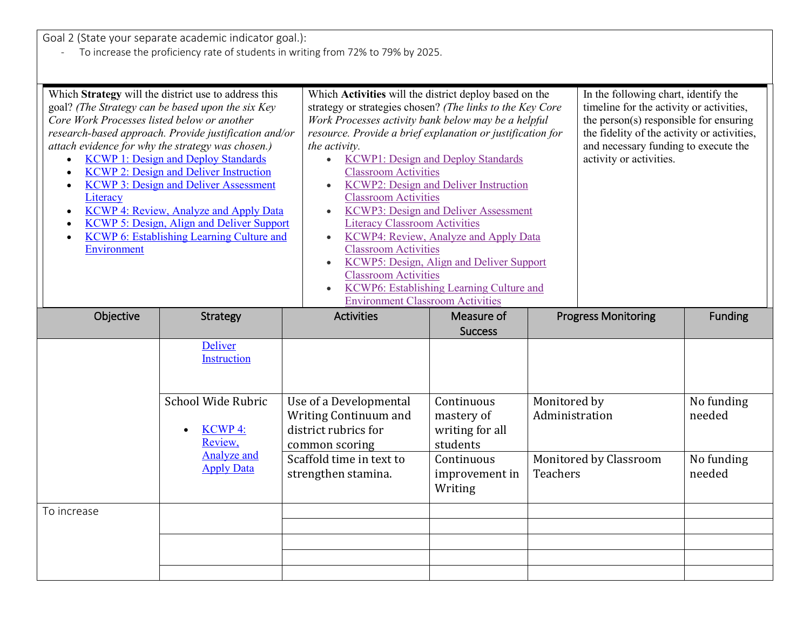Goal 2 (State your separate academic indicator goal.):

- To increase the proficiency rate of students in writing from 72% to 79% by 2025.

| Core Work Processes listed below or another<br>Literacy<br>Environment | Which Strategy will the district use to address this<br>goal? (The Strategy can be based upon the six Key<br>research-based approach. Provide justification and/or<br>attach evidence for why the strategy was chosen.)<br><b>KCWP 1: Design and Deploy Standards</b><br><b>KCWP 2: Design and Deliver Instruction</b><br><b>KCWP 3: Design and Deliver Assessment</b><br>KCWP 4: Review, Analyze and Apply Data<br><b>KCWP 5: Design, Align and Deliver Support</b><br><b>KCWP 6: Establishing Learning Culture and</b> | Which Activities will the district deploy based on the<br>strategy or strategies chosen? (The links to the Key Core<br>Work Processes activity bank below may be a helpful<br>resource. Provide a brief explanation or justification for<br>the activity.<br>$\bullet$<br><b>Classroom Activities</b><br>$\bullet$<br><b>Classroom Activities</b><br><b>Literacy Classroom Activities</b><br><b>Classroom Activities</b><br>$\bullet$<br><b>Classroom Activities</b><br><b>Environment Classroom Activities</b> | <b>KCWP1: Design and Deploy Standards</b><br><b>KCWP2: Design and Deliver Instruction</b><br><b>KCWP3: Design and Deliver Assessment</b><br><b>KCWP4: Review, Analyze and Apply Data</b><br>KCWP5: Design, Align and Deliver Support<br>KCWP6: Establishing Learning Culture and |                                | In the following chart, identify the<br>timeline for the activity or activities,<br>the person $(s)$ responsible for ensuring<br>the fidelity of the activity or activities,<br>and necessary funding to execute the<br>activity or activities. |                      |
|------------------------------------------------------------------------|--------------------------------------------------------------------------------------------------------------------------------------------------------------------------------------------------------------------------------------------------------------------------------------------------------------------------------------------------------------------------------------------------------------------------------------------------------------------------------------------------------------------------|-----------------------------------------------------------------------------------------------------------------------------------------------------------------------------------------------------------------------------------------------------------------------------------------------------------------------------------------------------------------------------------------------------------------------------------------------------------------------------------------------------------------|----------------------------------------------------------------------------------------------------------------------------------------------------------------------------------------------------------------------------------------------------------------------------------|--------------------------------|-------------------------------------------------------------------------------------------------------------------------------------------------------------------------------------------------------------------------------------------------|----------------------|
| Objective                                                              | Strategy                                                                                                                                                                                                                                                                                                                                                                                                                                                                                                                 | <b>Activities</b>                                                                                                                                                                                                                                                                                                                                                                                                                                                                                               | Measure of<br><b>Success</b>                                                                                                                                                                                                                                                     |                                | <b>Progress Monitoring</b>                                                                                                                                                                                                                      | <b>Funding</b>       |
|                                                                        | Deliver<br>Instruction                                                                                                                                                                                                                                                                                                                                                                                                                                                                                                   |                                                                                                                                                                                                                                                                                                                                                                                                                                                                                                                 |                                                                                                                                                                                                                                                                                  |                                |                                                                                                                                                                                                                                                 |                      |
|                                                                        | School Wide Rubric<br><b>KCWP4:</b><br>Review,                                                                                                                                                                                                                                                                                                                                                                                                                                                                           | Use of a Developmental<br>Writing Continuum and<br>district rubrics for<br>common scoring                                                                                                                                                                                                                                                                                                                                                                                                                       | Continuous<br>mastery of<br>writing for all<br>students                                                                                                                                                                                                                          | Monitored by<br>Administration |                                                                                                                                                                                                                                                 | No funding<br>needed |
|                                                                        | Analyze and<br><b>Apply Data</b>                                                                                                                                                                                                                                                                                                                                                                                                                                                                                         | Scaffold time in text to<br>strengthen stamina.                                                                                                                                                                                                                                                                                                                                                                                                                                                                 | Continuous<br>improvement in<br>Writing                                                                                                                                                                                                                                          | Teachers                       | Monitored by Classroom                                                                                                                                                                                                                          | No funding<br>needed |
| To increase                                                            |                                                                                                                                                                                                                                                                                                                                                                                                                                                                                                                          |                                                                                                                                                                                                                                                                                                                                                                                                                                                                                                                 |                                                                                                                                                                                                                                                                                  |                                |                                                                                                                                                                                                                                                 |                      |
|                                                                        |                                                                                                                                                                                                                                                                                                                                                                                                                                                                                                                          |                                                                                                                                                                                                                                                                                                                                                                                                                                                                                                                 |                                                                                                                                                                                                                                                                                  |                                |                                                                                                                                                                                                                                                 |                      |
|                                                                        |                                                                                                                                                                                                                                                                                                                                                                                                                                                                                                                          |                                                                                                                                                                                                                                                                                                                                                                                                                                                                                                                 |                                                                                                                                                                                                                                                                                  |                                |                                                                                                                                                                                                                                                 |                      |
|                                                                        |                                                                                                                                                                                                                                                                                                                                                                                                                                                                                                                          |                                                                                                                                                                                                                                                                                                                                                                                                                                                                                                                 |                                                                                                                                                                                                                                                                                  |                                |                                                                                                                                                                                                                                                 |                      |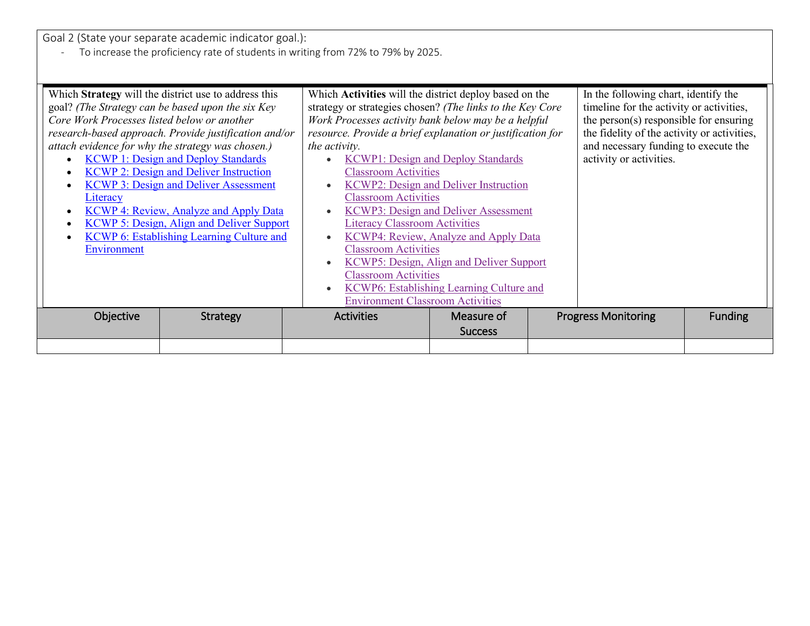Goal 2 (State your separate academic indicator goal.):

- To increase the proficiency rate of students in writing from 72% to 79% by 2025.

| Which Strategy will the district use to address this<br>goal? (The Strategy can be based upon the six Key<br>Core Work Processes listed below or another<br>research-based approach. Provide justification and/or<br>attach evidence for why the strategy was chosen.)<br><b>KCWP 1: Design and Deploy Standards</b><br>$\bullet$<br><b>KCWP 2: Design and Deliver Instruction</b><br>٠<br><b>KCWP 3: Design and Deliver Assessment</b><br>Literacy<br>KCWP 4: Review, Analyze and Apply Data<br>$\bullet$<br><b>KCWP 5: Design, Align and Deliver Support</b><br><b>KCWP 6: Establishing Learning Culture and</b><br>Environment | Which <b>Activities</b> will the district deploy based on the<br>strategy or strategies chosen? (The links to the Key Core<br>Work Processes activity bank below may be a helpful<br>resource. Provide a brief explanation or justification for<br>the activity.<br><b>Classroom Activities</b><br><b>Classroom Activities</b><br><b>Literacy Classroom Activities</b><br>$\bullet$<br><b>Classroom Activities</b><br><b>Classroom Activities</b><br><b>Environment Classroom Activities</b> | <b>KCWP1: Design and Deploy Standards</b><br><b>KCWP2: Design and Deliver Instruction</b><br><b>KCWP3: Design and Deliver Assessment</b><br><b>KCWP4: Review, Analyze and Apply Data</b><br>KCWP5: Design, Align and Deliver Support<br>KCWP6: Establishing Learning Culture and | In the following chart, identify the<br>timeline for the activity or activities,<br>the person(s) responsible for ensuring<br>the fidelity of the activity or activities,<br>and necessary funding to execute the<br>activity or activities. |                |
|-----------------------------------------------------------------------------------------------------------------------------------------------------------------------------------------------------------------------------------------------------------------------------------------------------------------------------------------------------------------------------------------------------------------------------------------------------------------------------------------------------------------------------------------------------------------------------------------------------------------------------------|----------------------------------------------------------------------------------------------------------------------------------------------------------------------------------------------------------------------------------------------------------------------------------------------------------------------------------------------------------------------------------------------------------------------------------------------------------------------------------------------|----------------------------------------------------------------------------------------------------------------------------------------------------------------------------------------------------------------------------------------------------------------------------------|----------------------------------------------------------------------------------------------------------------------------------------------------------------------------------------------------------------------------------------------|----------------|
| Objective<br>Strategy                                                                                                                                                                                                                                                                                                                                                                                                                                                                                                                                                                                                             | <b>Activities</b>                                                                                                                                                                                                                                                                                                                                                                                                                                                                            | Measure of<br><b>Success</b>                                                                                                                                                                                                                                                     | <b>Progress Monitoring</b>                                                                                                                                                                                                                   | <b>Funding</b> |
|                                                                                                                                                                                                                                                                                                                                                                                                                                                                                                                                                                                                                                   |                                                                                                                                                                                                                                                                                                                                                                                                                                                                                              |                                                                                                                                                                                                                                                                                  |                                                                                                                                                                                                                                              |                |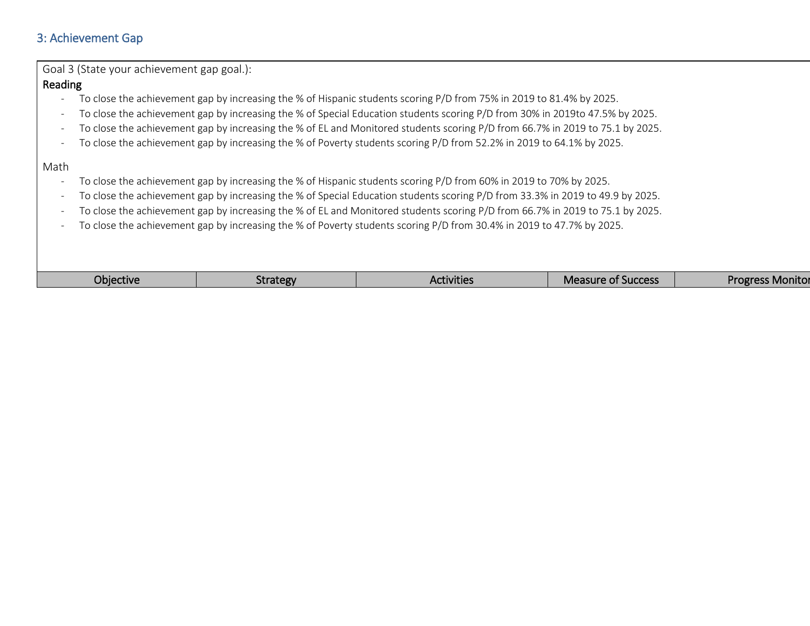# 3: Achievement Gap

| Goal 3 (State your achievement gap goal.): |          |                                                                                                                                |                           |                         |
|--------------------------------------------|----------|--------------------------------------------------------------------------------------------------------------------------------|---------------------------|-------------------------|
| Reading                                    |          |                                                                                                                                |                           |                         |
| $\overline{\phantom{a}}$                   |          | To close the achievement gap by increasing the % of Hispanic students scoring P/D from 75% in 2019 to 81.4% by 2025.           |                           |                         |
| $\overline{\phantom{a}}$                   |          | To close the achievement gap by increasing the % of Special Education students scoring P/D from 30% in 2019to 47.5% by 2025.   |                           |                         |
| $\overline{\phantom{a}}$                   |          | To close the achievement gap by increasing the % of EL and Monitored students scoring P/D from 66.7% in 2019 to 75.1 by 2025.  |                           |                         |
| $\overline{\phantom{a}}$                   |          | To close the achievement gap by increasing the % of Poverty students scoring P/D from 52.2% in 2019 to 64.1% by 2025.          |                           |                         |
| Math                                       |          |                                                                                                                                |                           |                         |
| $\qquad \qquad -$                          |          | To close the achievement gap by increasing the % of Hispanic students scoring P/D from 60% in 2019 to 70% by 2025.             |                           |                         |
| $\overline{\phantom{a}}$                   |          | To close the achievement gap by increasing the % of Special Education students scoring P/D from 33.3% in 2019 to 49.9 by 2025. |                           |                         |
| $\overline{\phantom{a}}$                   |          | To close the achievement gap by increasing the % of EL and Monitored students scoring P/D from 66.7% in 2019 to 75.1 by 2025.  |                           |                         |
| $\overline{\phantom{a}}$                   |          | To close the achievement gap by increasing the % of Poverty students scoring P/D from 30.4% in 2019 to 47.7% by 2025.          |                           |                         |
|                                            |          |                                                                                                                                |                           |                         |
|                                            |          |                                                                                                                                |                           |                         |
| Objective                                  | Strategy | <b>Activities</b>                                                                                                              | <b>Measure of Success</b> | <b>Progress Monitor</b> |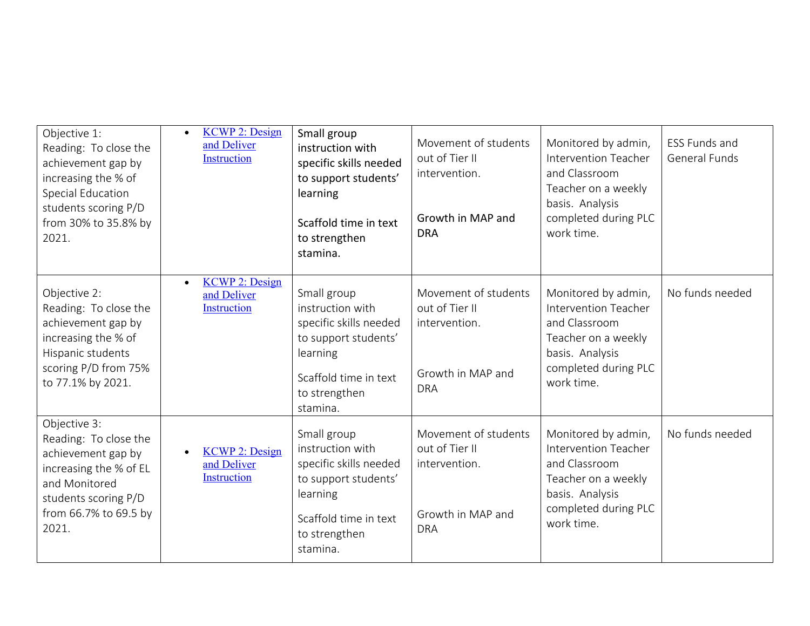| Objective 1:<br>Reading: To close the<br>achievement gap by<br>increasing the % of<br>Special Education<br>students scoring P/D<br>from 30% to 35.8% by<br>2021. | <b>KCWP 2: Design</b><br>$\bullet$<br>and Deliver<br>Instruction | Small group<br>instruction with<br>specific skills needed<br>to support students'<br>learning<br>Scaffold time in text<br>to strengthen<br>stamina. | Movement of students<br>out of Tier II<br>intervention.<br>Growth in MAP and<br><b>DRA</b> | Monitored by admin,<br><b>Intervention Teacher</b><br>and Classroom<br>Teacher on a weekly<br>basis. Analysis<br>completed during PLC<br>work time. | ESS Funds and<br><b>General Funds</b> |
|------------------------------------------------------------------------------------------------------------------------------------------------------------------|------------------------------------------------------------------|-----------------------------------------------------------------------------------------------------------------------------------------------------|--------------------------------------------------------------------------------------------|-----------------------------------------------------------------------------------------------------------------------------------------------------|---------------------------------------|
| Objective 2:<br>Reading: To close the<br>achievement gap by<br>increasing the % of<br>Hispanic students<br>scoring P/D from 75%<br>to 77.1% by 2021.             | <b>KCWP 2: Design</b><br>$\bullet$<br>and Deliver<br>Instruction | Small group<br>instruction with<br>specific skills needed<br>to support students'<br>learning<br>Scaffold time in text<br>to strengthen<br>stamina. | Movement of students<br>out of Tier II<br>intervention.<br>Growth in MAP and<br><b>DRA</b> | Monitored by admin,<br>Intervention Teacher<br>and Classroom<br>Teacher on a weekly<br>basis. Analysis<br>completed during PLC<br>work time.        | No funds needed                       |
| Objective 3:<br>Reading: To close the<br>achievement gap by<br>increasing the % of EL<br>and Monitored<br>students scoring P/D<br>from 66.7% to 69.5 by<br>2021. | <b>KCWP 2: Design</b><br>and Deliver<br>Instruction              | Small group<br>instruction with<br>specific skills needed<br>to support students'<br>learning<br>Scaffold time in text<br>to strengthen<br>stamina. | Movement of students<br>out of Tier II<br>intervention.<br>Growth in MAP and<br><b>DRA</b> | Monitored by admin,<br><b>Intervention Teacher</b><br>and Classroom<br>Teacher on a weekly<br>basis. Analysis<br>completed during PLC<br>work time. | No funds needed                       |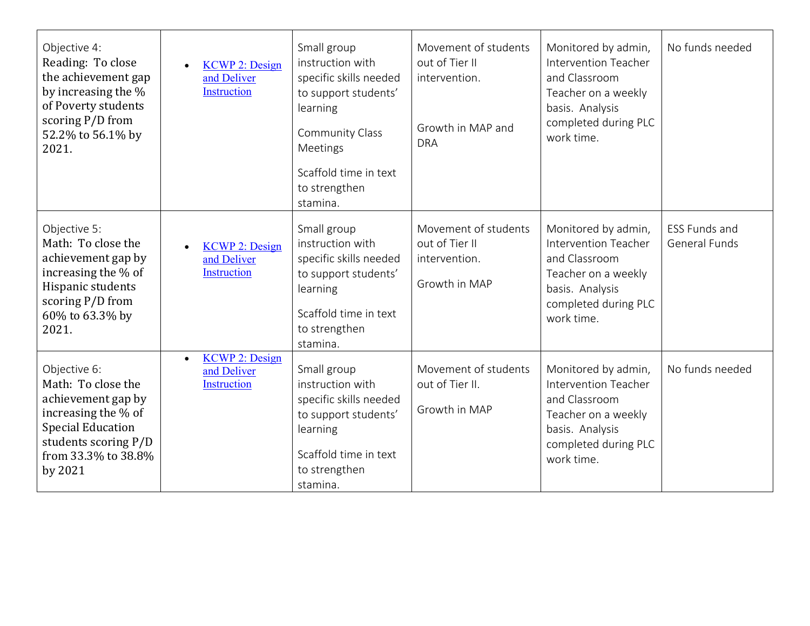| Objective 4:<br>Reading: To close<br>the achievement gap<br>by increasing the %<br>of Poverty students<br>scoring P/D from<br>52.2% to 56.1% by<br>2021.              | <b>KCWP 2: Design</b><br>and Deliver<br>Instruction                     | Small group<br>instruction with<br>specific skills needed<br>to support students'<br>learning<br>Community Class<br>Meetings<br>Scaffold time in text<br>to strengthen<br>stamina. | Movement of students<br>out of Tier II<br>intervention.<br>Growth in MAP and<br><b>DRA</b> | Monitored by admin,<br>Intervention Teacher<br>and Classroom<br>Teacher on a weekly<br>basis. Analysis<br>completed during PLC<br>work time.        | No funds needed                       |
|-----------------------------------------------------------------------------------------------------------------------------------------------------------------------|-------------------------------------------------------------------------|------------------------------------------------------------------------------------------------------------------------------------------------------------------------------------|--------------------------------------------------------------------------------------------|-----------------------------------------------------------------------------------------------------------------------------------------------------|---------------------------------------|
| Objective 5:<br>Math: To close the<br>achievement gap by<br>increasing the % of<br>Hispanic students<br>scoring P/D from<br>60% to 63.3% by<br>2021.                  | <b>KCWP 2: Design</b><br>and Deliver<br><b>Instruction</b>              | Small group<br>instruction with<br>specific skills needed<br>to support students'<br>learning<br>Scaffold time in text<br>to strengthen<br>stamina.                                | Movement of students<br>out of Tier II<br>intervention.<br>Growth in MAP                   | Monitored by admin,<br><b>Intervention Teacher</b><br>and Classroom<br>Teacher on a weekly<br>basis. Analysis<br>completed during PLC<br>work time. | ESS Funds and<br><b>General Funds</b> |
| Objective 6:<br>Math: To close the<br>achievement gap by<br>increasing the % of<br><b>Special Education</b><br>students scoring P/D<br>from 33.3% to 38.8%<br>by 2021 | <b>KCWP 2: Design</b><br>$\bullet$<br>and Deliver<br><b>Instruction</b> | Small group<br>instruction with<br>specific skills needed<br>to support students'<br>learning<br>Scaffold time in text<br>to strengthen<br>stamina.                                | Movement of students<br>out of Tier II.<br>Growth in MAP                                   | Monitored by admin,<br>Intervention Teacher<br>and Classroom<br>Teacher on a weekly<br>basis. Analysis<br>completed during PLC<br>work time.        | No funds needed                       |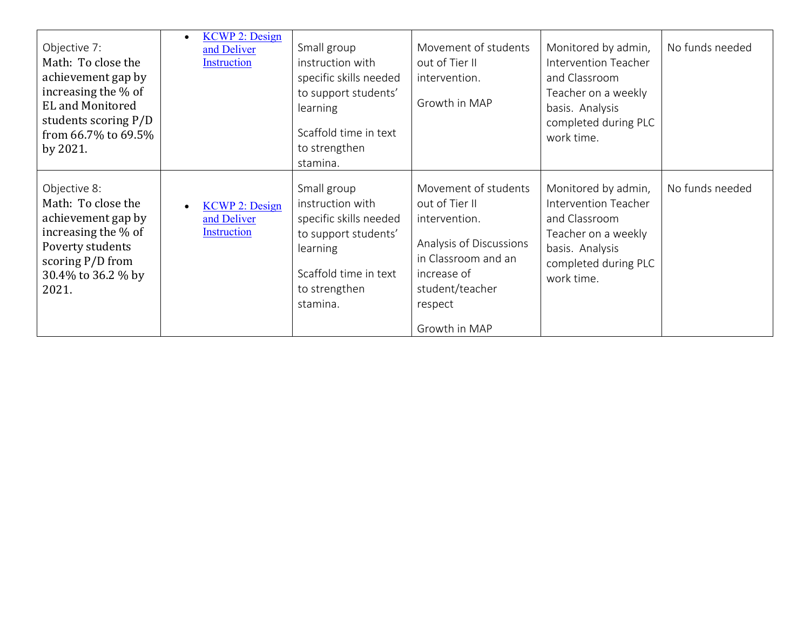| Objective 7:<br>Math: To close the<br>achievement gap by<br>increasing the % of<br><b>EL</b> and Monitored<br>students scoring P/D<br>from 66.7% to 69.5%<br>by 2021. | <b>KCWP 2: Design</b><br>$\bullet$<br>and Deliver<br>Instruction | Small group<br>instruction with<br>specific skills needed<br>to support students'<br>learning<br>Scaffold time in text<br>to strengthen<br>stamina. | Movement of students<br>out of Tier II<br>intervention.<br>Growth in MAP                                                                                                | Monitored by admin,<br>Intervention Teacher<br>and Classroom<br>Teacher on a weekly<br>basis. Analysis<br>completed during PLC<br>work time. | No funds needed |
|-----------------------------------------------------------------------------------------------------------------------------------------------------------------------|------------------------------------------------------------------|-----------------------------------------------------------------------------------------------------------------------------------------------------|-------------------------------------------------------------------------------------------------------------------------------------------------------------------------|----------------------------------------------------------------------------------------------------------------------------------------------|-----------------|
| Objective 8:<br>Math: To close the<br>achievement gap by<br>increasing the % of<br>Poverty students<br>scoring P/D from<br>30.4% to 36.2 % by<br>2021.                | <b>KCWP 2: Design</b><br>and Deliver<br>Instruction              | Small group<br>instruction with<br>specific skills needed<br>to support students'<br>learning<br>Scaffold time in text<br>to strengthen<br>stamina. | Movement of students<br>out of Tier II<br>intervention.<br>Analysis of Discussions<br>in Classroom and an<br>increase of<br>student/teacher<br>respect<br>Growth in MAP | Monitored by admin,<br>Intervention Teacher<br>and Classroom<br>Teacher on a weekly<br>basis. Analysis<br>completed during PLC<br>work time. | No funds needed |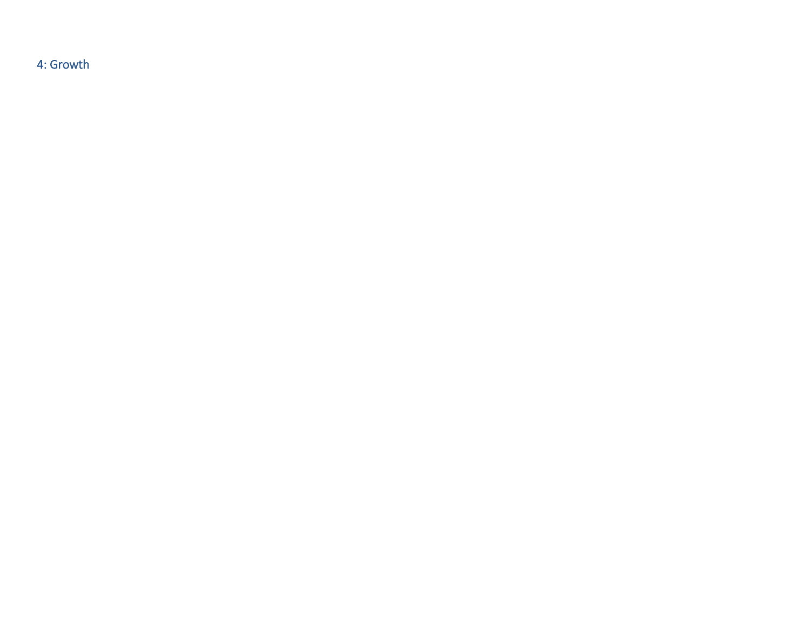4: Growth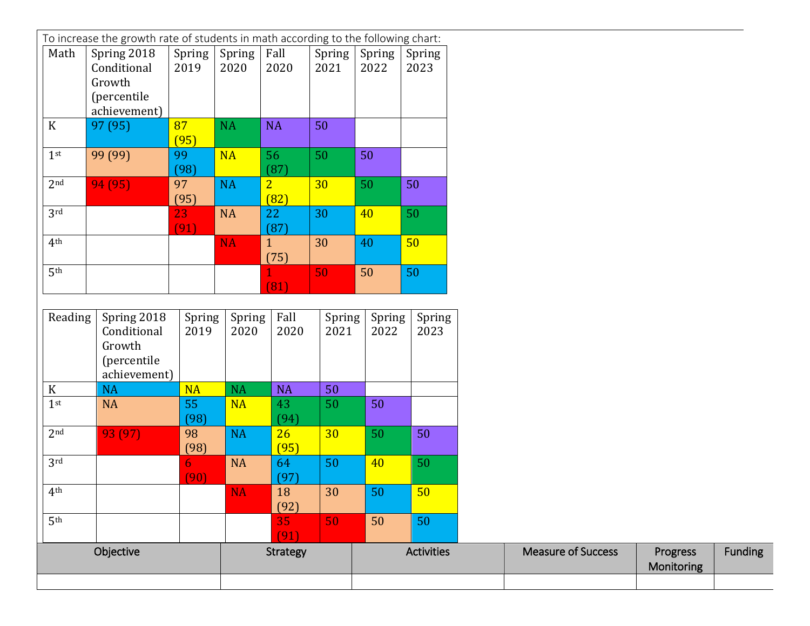| Math            | To increase the growth rate of students in math according to the following chart:<br>Spring 2018 | Spring         | Spring         | Fall                   | Spring         | Spring         |                   |
|-----------------|--------------------------------------------------------------------------------------------------|----------------|----------------|------------------------|----------------|----------------|-------------------|
|                 | Conditional<br>Growth<br>(percentile<br>achievement)                                             | 2019           | 2020           | 2020                   | 2021           | 2022           | Spring<br>2023    |
| $\mathbf K$     | 97 (95)                                                                                          | 87<br>(95)     | <b>NA</b>      | <b>NA</b>              | 50             |                |                   |
| 1 <sup>st</sup> | 99 (99)                                                                                          | 99<br>(98)     | <b>NA</b>      | 56<br>(87)             | 50             | 50             |                   |
| 2 <sub>nd</sub> | 94 (95)                                                                                          | 97<br>(95)     | <b>NA</b>      | $\overline{2}$<br>(82) | 30             | 50             | 50                |
| 3rd             |                                                                                                  | 23<br>(91)     | <b>NA</b>      | 22<br>(87)             | 30             | 40             | 50                |
| 4 <sup>th</sup> |                                                                                                  |                | <b>NA</b>      | $\mathbf{1}$<br>(75)   | 30             | 40             | 50                |
| 5 <sup>th</sup> |                                                                                                  |                |                | (81)                   | 50             | 50             | 50                |
|                 |                                                                                                  |                |                |                        |                |                |                   |
| Reading         | Spring 2018<br>Conditional<br>Growth<br>(percentile<br>achievement)                              | Spring<br>2019 | Spring<br>2020 | Fall<br>2020           | Spring<br>2021 | Spring<br>2022 | Spring<br>2023    |
| $\mathbf K$     | <b>NA</b>                                                                                        | <b>NA</b>      | <b>NA</b>      | <b>NA</b>              | 50             |                |                   |
| 1 <sup>st</sup> | <b>NA</b>                                                                                        | 55<br>(98)     | <b>NA</b>      | 43<br>(94)             | 50             | 50             |                   |
| 2 <sub>nd</sub> | 93 (97)                                                                                          | 98<br>(98)     | <b>NA</b>      | 26<br>(95)             | 30             | 50             | 50                |
| 3 <sup>rd</sup> |                                                                                                  | 6<br>(90)      | <b>NA</b>      | 64<br>(97)             | 50             | 40             | 50                |
| 4 <sup>th</sup> |                                                                                                  |                | NA.            | 18<br>(92)             | 30             | 50             | 50 <sup>°</sup>   |
| 5 <sup>th</sup> |                                                                                                  |                |                | 35<br>(91)             | 50             | 50             | 50                |
|                 | Objective                                                                                        |                |                | <b>Strategy</b>        |                |                | <b>Activities</b> |

Funding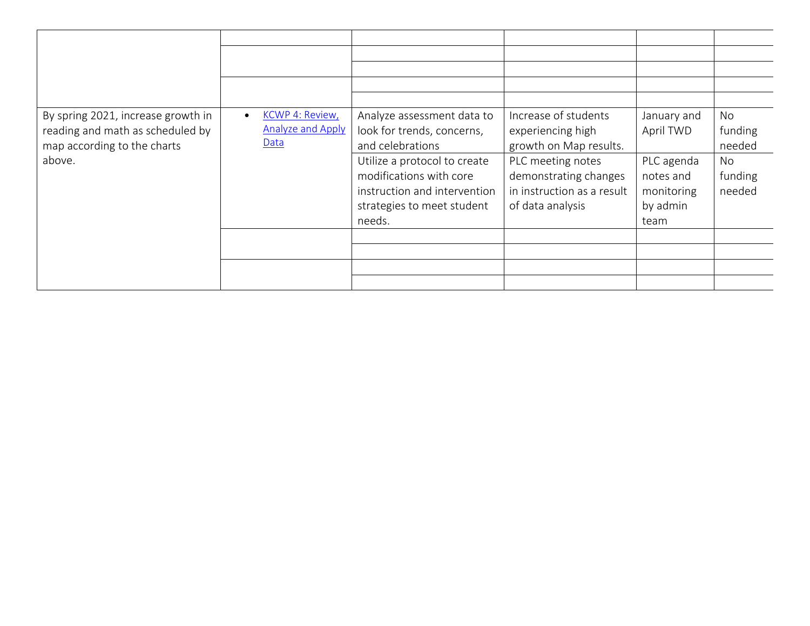| By spring 2021, increase growth in | KCWP 4: Review,<br>$\bullet$ | Analyze assessment data to   | Increase of students       | January and | No      |
|------------------------------------|------------------------------|------------------------------|----------------------------|-------------|---------|
| reading and math as scheduled by   | <b>Analyze and Apply</b>     | look for trends, concerns,   | experiencing high          | April TWD   | funding |
| map according to the charts        | Data                         | and celebrations             | growth on Map results.     |             | needed  |
| above.                             |                              | Utilize a protocol to create | PLC meeting notes          | PLC agenda  | No      |
|                                    |                              | modifications with core      | demonstrating changes      | notes and   | funding |
|                                    |                              | instruction and intervention | in instruction as a result | monitoring  | needed  |
|                                    |                              | strategies to meet student   | of data analysis           | by admin    |         |
|                                    |                              | needs.                       |                            | team        |         |
|                                    |                              |                              |                            |             |         |
|                                    |                              |                              |                            |             |         |
|                                    |                              |                              |                            |             |         |
|                                    |                              |                              |                            |             |         |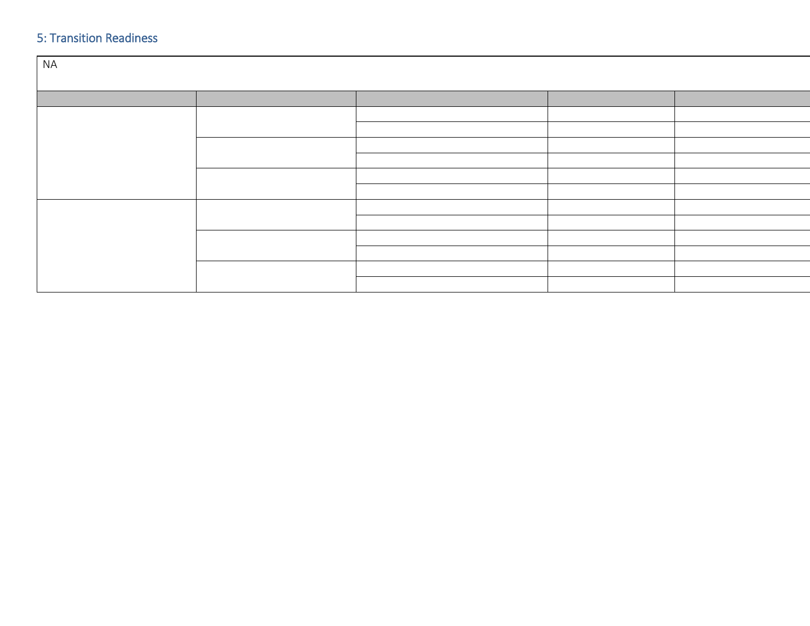## 5: Transition Readiness

| <b>NA</b> |  |  |  |  |
|-----------|--|--|--|--|
|           |  |  |  |  |
|           |  |  |  |  |
|           |  |  |  |  |
|           |  |  |  |  |
|           |  |  |  |  |
|           |  |  |  |  |
|           |  |  |  |  |
|           |  |  |  |  |
|           |  |  |  |  |
|           |  |  |  |  |
|           |  |  |  |  |
|           |  |  |  |  |
|           |  |  |  |  |
|           |  |  |  |  |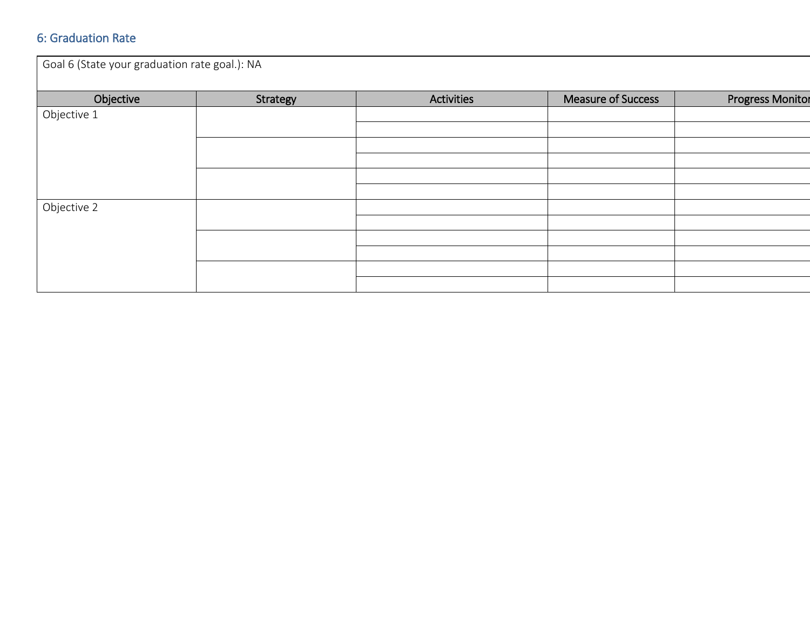### 6: Graduation Rate

| Goal 6 (State your graduation rate goal.): NA |          |                   |                    |                         |  |
|-----------------------------------------------|----------|-------------------|--------------------|-------------------------|--|
| Objective                                     | Strategy | <b>Activities</b> | Measure of Success | <b>Progress Monitor</b> |  |
| Objective 1                                   |          |                   |                    |                         |  |
|                                               |          |                   |                    |                         |  |
|                                               |          |                   |                    |                         |  |
|                                               |          |                   |                    |                         |  |
| Objective 2                                   |          |                   |                    |                         |  |
|                                               |          |                   |                    |                         |  |
|                                               |          |                   |                    |                         |  |
|                                               |          |                   |                    |                         |  |
|                                               |          |                   |                    |                         |  |
|                                               |          |                   |                    |                         |  |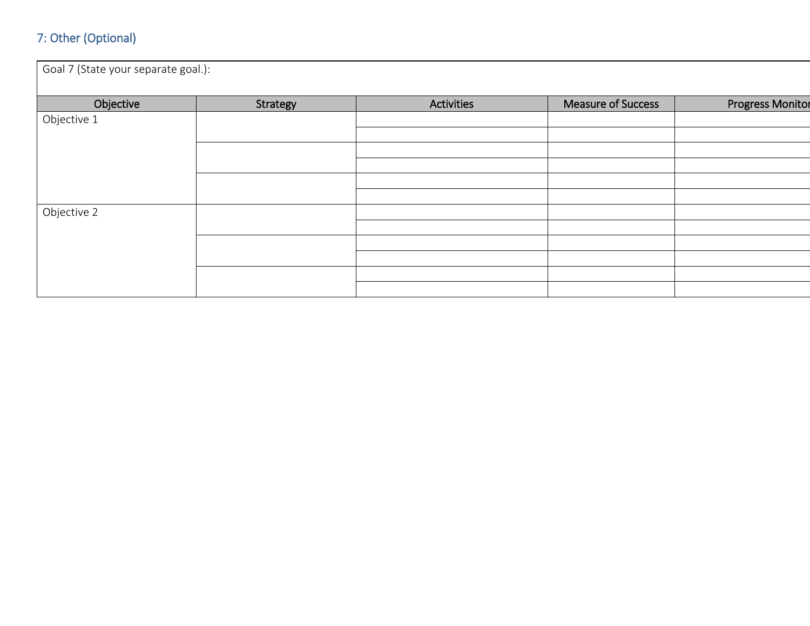# 7: Other (Optional)

| Goal 7 (State your separate goal.): |          |                   |                    |                         |  |
|-------------------------------------|----------|-------------------|--------------------|-------------------------|--|
| Objective                           | Strategy | <b>Activities</b> | Measure of Success | <b>Progress Monitor</b> |  |
| Objective 1                         |          |                   |                    |                         |  |
|                                     |          |                   |                    |                         |  |
|                                     |          |                   |                    |                         |  |
|                                     |          |                   |                    |                         |  |
|                                     |          |                   |                    |                         |  |
| Objective 2                         |          |                   |                    |                         |  |
|                                     |          |                   |                    |                         |  |
|                                     |          |                   |                    |                         |  |
|                                     |          |                   |                    |                         |  |
|                                     |          |                   |                    |                         |  |
|                                     |          |                   |                    |                         |  |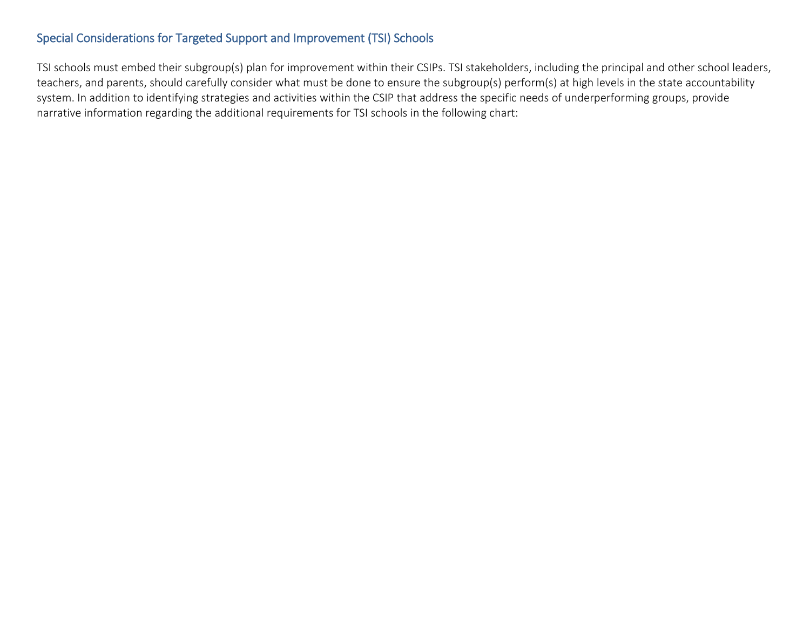## Special Considerations for Targeted Support and Improvement (TSI) Schools

TSI schools must embed their subgroup(s) plan for improvement within their CSIPs. TSI stakeholders, including the principal and other school leaders, teachers, and parents, should carefully consider what must be done to ensure the subgroup(s) perform(s) at high levels in the state accountability system. In addition to identifying strategies and activities within the CSIP that address the specific needs of underperforming groups, provide narrative information regarding the additional requirements for TSI schools in the following chart: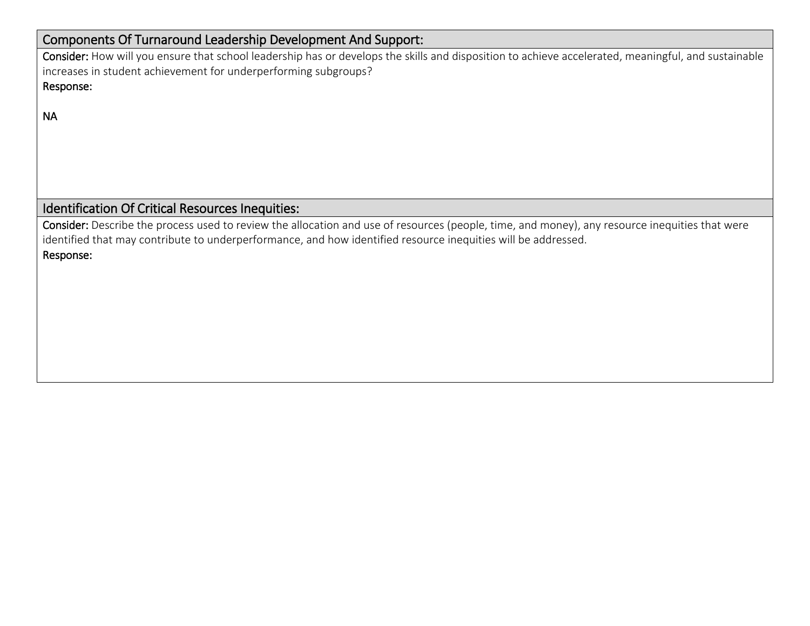## Components Of Turnaround Leadership Development And Support:

Consider: How will you ensure that school leadership has or develops the skills and disposition to achieve accelerated, meaningful, and sustainable increases in student achievement for underperforming subgroups? Response:

NA

# Identification Of Critical Resources Inequities:

Consider: Describe the process used to review the allocation and use of resources (people, time, and money), any resource inequities that were identified that may contribute to underperformance, and how identified resource inequities will be addressed. Response: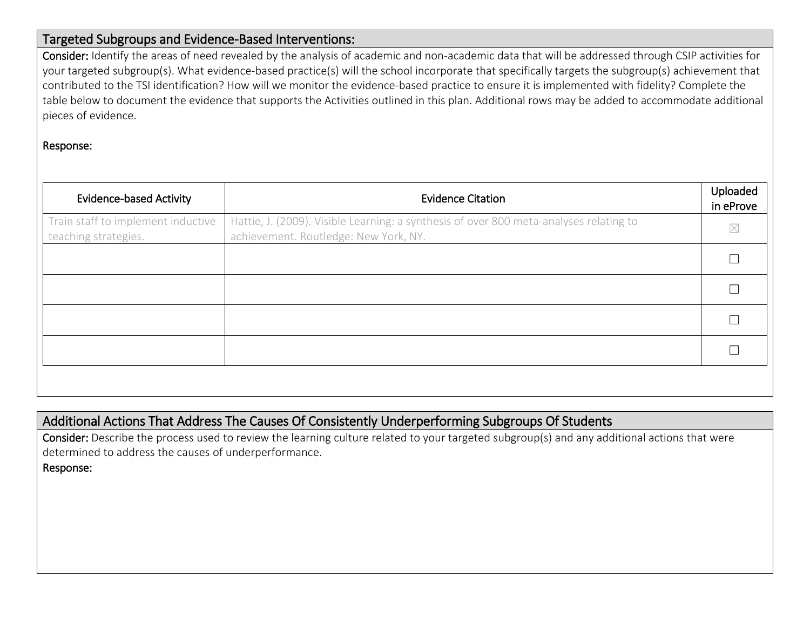### Targeted Subgroups and Evidence-Based Interventions:

Consider: Identify the areas of need revealed by the analysis of academic and non-academic data that will be addressed through CSIP activities for your targeted subgroup(s). What evidence-based practice(s) will the school incorporate that specifically targets the subgroup(s) achievement that contributed to the TSI identification? How will we monitor the evidence-based practice to ensure it is implemented with fidelity? Complete the table below to document the evidence that supports the Activities outlined in this plan. Additional rows may be added to accommodate additional pieces of evidence.

#### Response:

| <b>Evidence-based Activity</b>                             | <b>Evidence Citation</b>                                                                                                        | Uploaded<br>in eProve |
|------------------------------------------------------------|---------------------------------------------------------------------------------------------------------------------------------|-----------------------|
| Train staff to implement inductive<br>teaching strategies. | Hattie, J. (2009). Visible Learning: a synthesis of over 800 meta-analyses relating to<br>achievement. Routledge: New York, NY. | $\boxtimes$           |
|                                                            |                                                                                                                                 |                       |
|                                                            |                                                                                                                                 |                       |
|                                                            |                                                                                                                                 |                       |
|                                                            |                                                                                                                                 |                       |
|                                                            |                                                                                                                                 |                       |

## Additional Actions That Address The Causes Of Consistently Underperforming Subgroups Of Students

Consider: Describe the process used to review the learning culture related to your targeted subgroup(s) and any additional actions that were determined to address the causes of underperformance.

Response: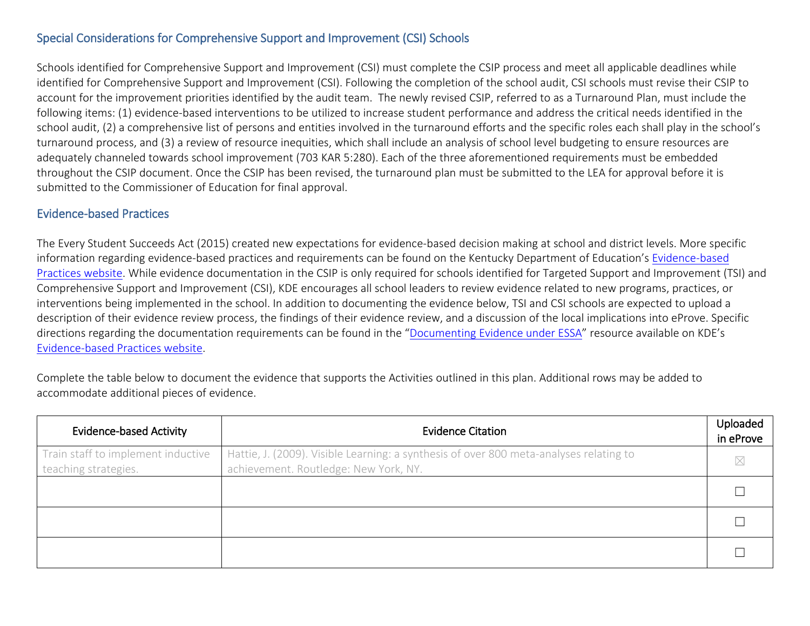### Special Considerations for Comprehensive Support and Improvement (CSI) Schools

Schools identified for Comprehensive Support and Improvement (CSI) must complete the CSIP process and meet all applicable deadlines while identified for Comprehensive Support and Improvement (CSI). Following the completion of the school audit, CSI schools must revise their CSIP to account for the improvement priorities identified by the audit team. The newly revised CSIP, referred to as a Turnaround Plan, must include the following items: (1) evidence-based interventions to be utilized to increase student performance and address the critical needs identified in the school audit, (2) a comprehensive list of persons and entities involved in the turnaround efforts and the specific roles each shall play in the school's turnaround process, and (3) a review of resource inequities, which shall include an analysis of school level budgeting to ensure resources are adequately channeled towards school improvement (703 KAR 5:280). Each of the three aforementioned requirements must be embedded throughout the CSIP document. Once the CSIP has been revised, the turnaround plan must be submitted to the LEA for approval before it is submitted to the Commissioner of Education for final approval.

#### Evidence-based Practices

The Every Student Succeeds Act (2015) created new expectations for evidence-based decision making at school and district levels. More specific information regarding evidence-based practices and requirements can be found on the Kentucky Department of Education's Evidence-based [Practices website.](https://education.ky.gov/school/evidence/Pages/default.aspx) While evidence documentation in the CSIP is only required for schools identified for Targeted Support and Improvement (TSI) and Comprehensive Support and Improvement (CSI), KDE encourages all school leaders to review evidence related to new programs, practices, or interventions being implemented in the school. In addition to documenting the evidence below, TSI and CSI schools are expected to upload a description of their evidence review process, the findings of their evidence review, and a discussion of the local implications into eProve. Specific directions regarding the documentation requirements can be found in the ["Documenting Evidence under](https://education.ky.gov/school/evidence/Documents/Documenting%20Evidence%20Under%20ESSA.pdf) ESSA" resource available on KDE's [Evidence-based Practices website.](https://education.ky.gov/school/evidence/Pages/default.aspx)

Complete the table below to document the evidence that supports the Activities outlined in this plan. Additional rows may be added to accommodate additional pieces of evidence.

| <b>Evidence-based Activity</b>                             | <b>Evidence Citation</b>                                                                                                        | Uploaded<br>in eProve |
|------------------------------------------------------------|---------------------------------------------------------------------------------------------------------------------------------|-----------------------|
| Train staff to implement inductive<br>teaching strategies. | Hattie, J. (2009). Visible Learning: a synthesis of over 800 meta-analyses relating to<br>achievement. Routledge: New York, NY. | $\bowtie$             |
|                                                            |                                                                                                                                 |                       |
|                                                            |                                                                                                                                 |                       |
|                                                            |                                                                                                                                 |                       |